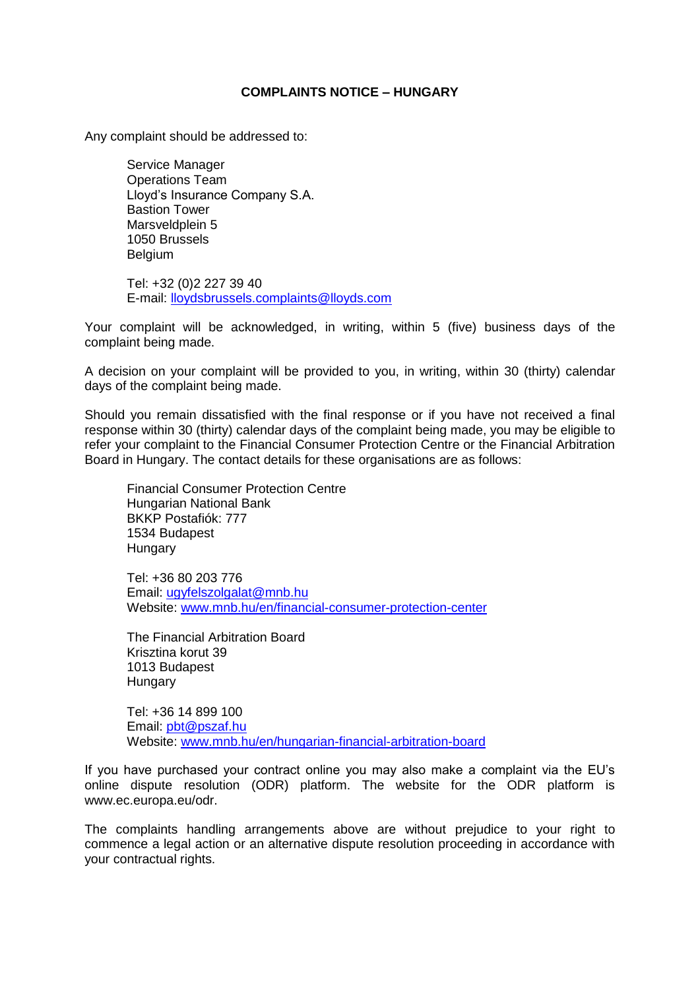## **COMPLAINTS NOTICE – HUNGARY**

Any complaint should be addressed to:

Service Manager Operations Team Lloyd's Insurance Company S.A. Bastion Tower Marsveldplein 5 1050 Brussels Belgium

Tel: +32 (0)2 227 39 40 E-mail: lloydsbrussels.complaints@lloyds.com

Your complaint will be acknowledged, in writing, within 5 (five) business days of the complaint being made.

A decision on your complaint will be provided to you, in writing, within 30 (thirty) calendar days of the complaint being made.

Should you remain dissatisfied with the final response or if you have not received a final response within 30 (thirty) calendar days of the complaint being made, you may be eligible to refer your complaint to the Financial Consumer Protection Centre or the Financial Arbitration Board in Hungary. The contact details for these organisations are as follows:

Financial Consumer Protection Centre Hungarian National Bank BKKP Postafiók: 777 1534 Budapest Hungary

Tel: +36 80 203 776 Email: [ugyfelszolgalat@mnb.hu](mailto:ugyfelszolgalat@mnb.hu) Website: [www.mnb.hu/en/financial-consumer-protection-center](http://www.mnb.hu/en/financial-consumer-protection-center)

The Financial Arbitration Board Krisztina korut 39 1013 Budapest Hungary

Tel: +36 14 899 100 Email: [pbt@pszaf.hu](mailto:pbt@pszaf.hu) Website: [www.mnb.hu/en/hungarian-financial-arbitration-board](http://www.mnb.hu/en/hungarian-financial-arbitration-board)

If you have purchased your contract online you may also make a complaint via the EU's online dispute resolution (ODR) platform. The website for the ODR platform is www.ec.europa.eu/odr.

The complaints handling arrangements above are without prejudice to your right to commence a legal action or an alternative dispute resolution proceeding in accordance with your contractual rights.